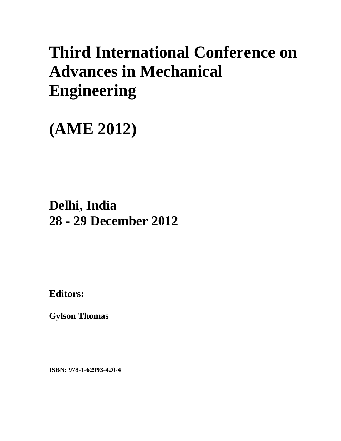# **Third International Conference on Advances in Mechanical Engineering**

# **(AME 2012)**

## **Delhi, India 28 - 29 December 2012**

**Editors:** 

**Gylson Thomas** 

**ISBN: 978-1-62993-420-4**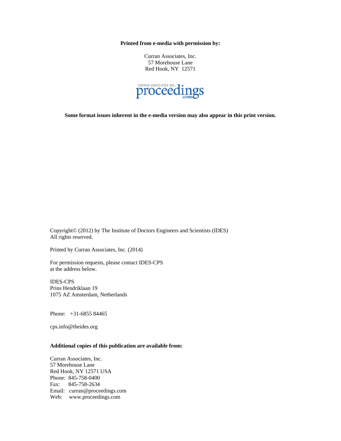**Printed from e-media with permission by:** 

Curran Associates, Inc. 57 Morehouse Lane Red Hook, NY 12571



**Some format issues inherent in the e-media version may also appear in this print version.** 

Copyright© (2012) by The Institute of Doctors Engineers and Scientists (IDES) All rights reserved.

Printed by Curran Associates, Inc. (2014)

For permission requests, please contact IDES-CPS at the address below.

IDES-CPS Prins Hendriklaan 19 1075 AZ Amsterdam, Netherlands

Phone: +31-6855 84465

cps.info@theides.org

#### **Additional copies of this publication are available from:**

Curran Associates, Inc. 57 Morehouse Lane Red Hook, NY 12571 USA Phone: 845-758-0400 Fax: 845-758-2634 Email: curran@proceedings.com Web: www.proceedings.com